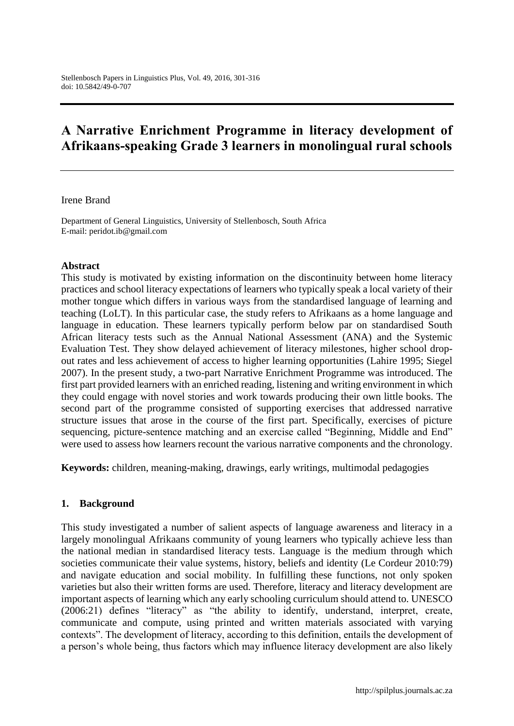# **A Narrative Enrichment Programme in literacy development of Afrikaans-speaking Grade 3 learners in monolingual rural schools**

#### Irene Brand

Department of General Linguistics, University of Stellenbosch, South Africa E-mail: peridot.ib@gmail.com

#### **Abstract**

This study is motivated by existing information on the discontinuity between home literacy practices and school literacy expectations of learners who typically speak a local variety of their mother tongue which differs in various ways from the standardised language of learning and teaching (LoLT). In this particular case, the study refers to Afrikaans as a home language and language in education. These learners typically perform below par on standardised South African literacy tests such as the Annual National Assessment (ANA) and the Systemic Evaluation Test. They show delayed achievement of literacy milestones, higher school dropout rates and less achievement of access to higher learning opportunities (Lahire 1995; Siegel 2007). In the present study, a two-part Narrative Enrichment Programme was introduced. The first part provided learners with an enriched reading, listening and writing environment in which they could engage with novel stories and work towards producing their own little books. The second part of the programme consisted of supporting exercises that addressed narrative structure issues that arose in the course of the first part. Specifically, exercises of picture sequencing, picture-sentence matching and an exercise called "Beginning, Middle and End" were used to assess how learners recount the various narrative components and the chronology.

**Keywords:** children, meaning-making, drawings, early writings, multimodal pedagogies

#### **1. Background**

This study investigated a number of salient aspects of language awareness and literacy in a largely monolingual Afrikaans community of young learners who typically achieve less than the national median in standardised literacy tests. Language is the medium through which societies communicate their value systems, history, beliefs and identity (Le Cordeur 2010:79) and navigate education and social mobility. In fulfilling these functions, not only spoken varieties but also their written forms are used. Therefore, literacy and literacy development are important aspects of learning which any early schooling curriculum should attend to. UNESCO (2006:21) defines "literacy" as "the ability to identify, understand, interpret, create, communicate and compute, using printed and written materials associated with varying contexts". The development of literacy, according to this definition, entails the development of a person's whole being, thus factors which may influence literacy development are also likely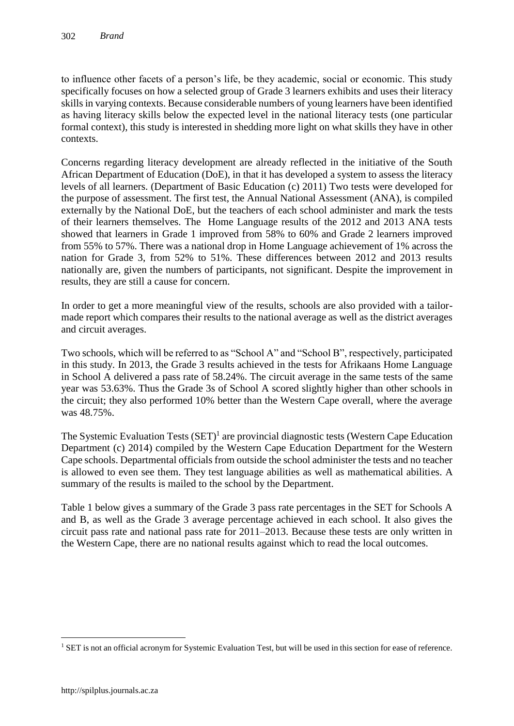to influence other facets of a person's life, be they academic, social or economic. This study specifically focuses on how a selected group of Grade 3 learners exhibits and uses their literacy skills in varying contexts. Because considerable numbers of young learners have been identified as having literacy skills below the expected level in the national literacy tests (one particular formal context), this study is interested in shedding more light on what skills they have in other contexts.

Concerns regarding literacy development are already reflected in the initiative of the South African Department of Education (DoE), in that it has developed a system to assess the literacy levels of all learners. (Department of Basic Education (c) 2011) Two tests were developed for the purpose of assessment. The first test, the Annual National Assessment (ANA), is compiled externally by the National DoE, but the teachers of each school administer and mark the tests of their learners themselves. The Home Language results of the 2012 and 2013 ANA tests showed that learners in Grade 1 improved from 58% to 60% and Grade 2 learners improved from 55% to 57%. There was a national drop in Home Language achievement of 1% across the nation for Grade 3, from 52% to 51%. These differences between 2012 and 2013 results nationally are, given the numbers of participants, not significant. Despite the improvement in results, they are still a cause for concern.

In order to get a more meaningful view of the results, schools are also provided with a tailormade report which compares their results to the national average as well as the district averages and circuit averages.

Two schools, which will be referred to as "School A" and "School B", respectively, participated in this study. In 2013, the Grade 3 results achieved in the tests for Afrikaans Home Language in School A delivered a pass rate of 58.24%. The circuit average in the same tests of the same year was 53.63%. Thus the Grade 3s of School A scored slightly higher than other schools in the circuit; they also performed 10% better than the Western Cape overall, where the average was 48.75%.

The Systemic Evaluation Tests  $(SET)^1$  are provincial diagnostic tests (Western Cape Education Department (c) 2014) compiled by the Western Cape Education Department for the Western Cape schools. Departmental officials from outside the school administer the tests and no teacher is allowed to even see them. They test language abilities as well as mathematical abilities. A summary of the results is mailed to the school by the Department.

Table 1 below gives a summary of the Grade 3 pass rate percentages in the SET for Schools A and B, as well as the Grade 3 average percentage achieved in each school. It also gives the circuit pass rate and national pass rate for 2011–2013. Because these tests are only written in the Western Cape, there are no national results against which to read the local outcomes.

<sup>&</sup>lt;sup>1</sup> SET is not an official acronym for Systemic Evaluation Test, but will be used in this section for ease of reference.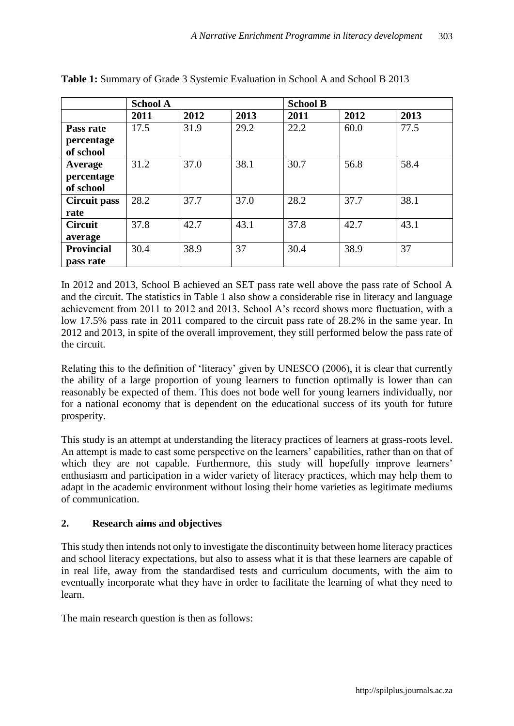|                   | <b>School A</b> |      |      | <b>School B</b> |      |      |
|-------------------|-----------------|------|------|-----------------|------|------|
|                   | 2011            | 2012 | 2013 | 2011            | 2012 | 2013 |
| Pass rate         | 17.5            | 31.9 | 29.2 | 22.2            | 60.0 | 77.5 |
| percentage        |                 |      |      |                 |      |      |
| of school         |                 |      |      |                 |      |      |
| Average           | 31.2            | 37.0 | 38.1 | 30.7            | 56.8 | 58.4 |
| percentage        |                 |      |      |                 |      |      |
| of school         |                 |      |      |                 |      |      |
| Circuit pass      | 28.2            | 37.7 | 37.0 | 28.2            | 37.7 | 38.1 |
| rate              |                 |      |      |                 |      |      |
| <b>Circuit</b>    | 37.8            | 42.7 | 43.1 | 37.8            | 42.7 | 43.1 |
| average           |                 |      |      |                 |      |      |
| <b>Provincial</b> | 30.4            | 38.9 | 37   | 30.4            | 38.9 | 37   |
| pass rate         |                 |      |      |                 |      |      |

**Table 1:** Summary of Grade 3 Systemic Evaluation in School A and School B 2013

In 2012 and 2013, School B achieved an SET pass rate well above the pass rate of School A and the circuit. The statistics in Table 1 also show a considerable rise in literacy and language achievement from 2011 to 2012 and 2013. School A's record shows more fluctuation, with a low 17.5% pass rate in 2011 compared to the circuit pass rate of 28.2% in the same year. In 2012 and 2013, in spite of the overall improvement, they still performed below the pass rate of the circuit.

Relating this to the definition of 'literacy' given by UNESCO (2006), it is clear that currently the ability of a large proportion of young learners to function optimally is lower than can reasonably be expected of them. This does not bode well for young learners individually, nor for a national economy that is dependent on the educational success of its youth for future prosperity.

This study is an attempt at understanding the literacy practices of learners at grass-roots level. An attempt is made to cast some perspective on the learners' capabilities, rather than on that of which they are not capable. Furthermore, this study will hopefully improve learners' enthusiasm and participation in a wider variety of literacy practices, which may help them to adapt in the academic environment without losing their home varieties as legitimate mediums of communication.

## **2. Research aims and objectives**

This study then intends not only to investigate the discontinuity between home literacy practices and school literacy expectations, but also to assess what it is that these learners are capable of in real life, away from the standardised tests and curriculum documents, with the aim to eventually incorporate what they have in order to facilitate the learning of what they need to learn.

The main research question is then as follows: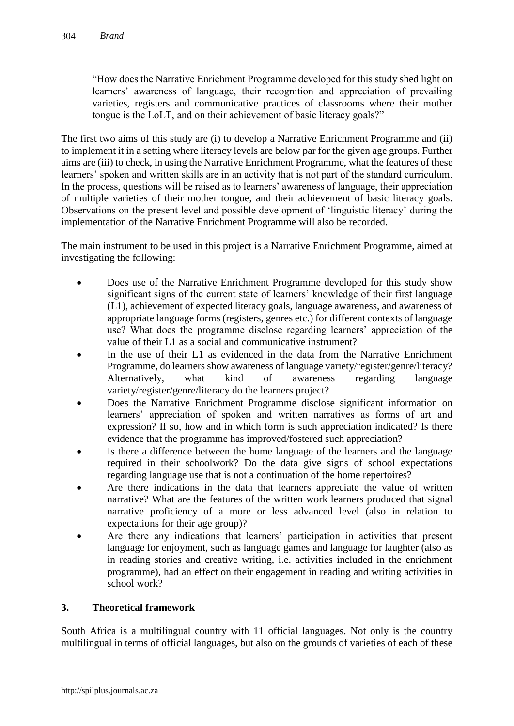"How does the Narrative Enrichment Programme developed for this study shed light on learners' awareness of language, their recognition and appreciation of prevailing varieties, registers and communicative practices of classrooms where their mother tongue is the LoLT, and on their achievement of basic literacy goals?"

The first two aims of this study are (i) to develop a Narrative Enrichment Programme and (ii) to implement it in a setting where literacy levels are below par for the given age groups. Further aims are (iii) to check, in using the Narrative Enrichment Programme, what the features of these learners' spoken and written skills are in an activity that is not part of the standard curriculum. In the process, questions will be raised as to learners' awareness of language, their appreciation of multiple varieties of their mother tongue, and their achievement of basic literacy goals. Observations on the present level and possible development of 'linguistic literacy' during the implementation of the Narrative Enrichment Programme will also be recorded.

The main instrument to be used in this project is a Narrative Enrichment Programme, aimed at investigating the following:

- Does use of the Narrative Enrichment Programme developed for this study show significant signs of the current state of learners' knowledge of their first language (L1), achievement of expected literacy goals, language awareness, and awareness of appropriate language forms (registers, genres etc.) for different contexts of language use? What does the programme disclose regarding learners' appreciation of the value of their L1 as a social and communicative instrument?
- In the use of their L1 as evidenced in the data from the Narrative Enrichment Programme, do learners show awareness of language variety/register/genre/literacy? Alternatively, what kind of awareness regarding language variety/register/genre/literacy do the learners project?
- Does the Narrative Enrichment Programme disclose significant information on learners' appreciation of spoken and written narratives as forms of art and expression? If so, how and in which form is such appreciation indicated? Is there evidence that the programme has improved/fostered such appreciation?
- Is there a difference between the home language of the learners and the language required in their schoolwork? Do the data give signs of school expectations regarding language use that is not a continuation of the home repertoires?
- Are there indications in the data that learners appreciate the value of written narrative? What are the features of the written work learners produced that signal narrative proficiency of a more or less advanced level (also in relation to expectations for their age group)?
- Are there any indications that learners' participation in activities that present language for enjoyment, such as language games and language for laughter (also as in reading stories and creative writing, i.e. activities included in the enrichment programme), had an effect on their engagement in reading and writing activities in school work?

# **3. Theoretical framework**

South Africa is a multilingual country with 11 official languages. Not only is the country multilingual in terms of official languages, but also on the grounds of varieties of each of these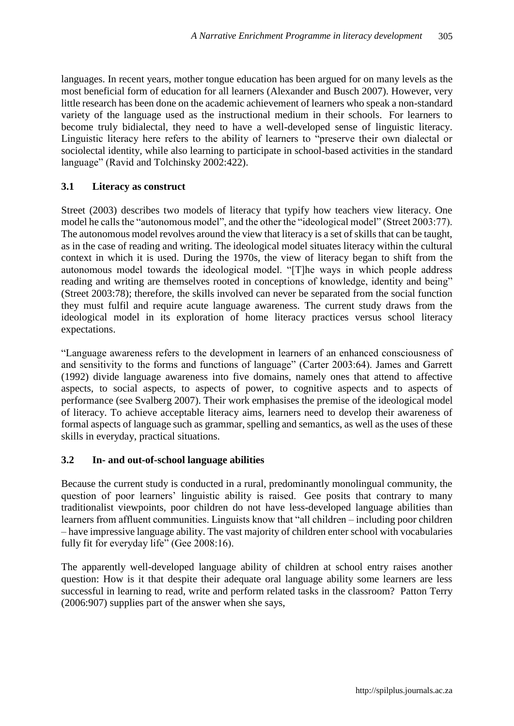languages. In recent years, mother tongue education has been argued for on many levels as the most beneficial form of education for all learners (Alexander and Busch 2007). However, very little research has been done on the academic achievement of learners who speak a non-standard variety of the language used as the instructional medium in their schools. For learners to become truly bidialectal, they need to have a well-developed sense of linguistic literacy. Linguistic literacy here refers to the ability of learners to "preserve their own dialectal or sociolectal identity, while also learning to participate in school-based activities in the standard language" (Ravid and Tolchinsky 2002:422).

## **3.1 Literacy as construct**

Street (2003) describes two models of literacy that typify how teachers view literacy. One model he calls the "autonomous model", and the other the "ideological model" (Street 2003:77). The autonomous model revolves around the view that literacy is a set of skills that can be taught, as in the case of reading and writing. The ideological model situates literacy within the cultural context in which it is used. During the 1970s, the view of literacy began to shift from the autonomous model towards the ideological model. "[T]he ways in which people address reading and writing are themselves rooted in conceptions of knowledge, identity and being" (Street 2003:78); therefore, the skills involved can never be separated from the social function they must fulfil and require acute language awareness. The current study draws from the ideological model in its exploration of home literacy practices versus school literacy expectations.

"Language awareness refers to the development in learners of an enhanced consciousness of and sensitivity to the forms and functions of language" (Carter 2003:64). James and Garrett (1992) divide language awareness into five domains, namely ones that attend to affective aspects, to social aspects, to aspects of power, to cognitive aspects and to aspects of performance (see Svalberg 2007). Their work emphasises the premise of the ideological model of literacy. To achieve acceptable literacy aims, learners need to develop their awareness of formal aspects of language such as grammar, spelling and semantics, as well as the uses of these skills in everyday, practical situations.

## **3.2 In- and out-of-school language abilities**

Because the current study is conducted in a rural, predominantly monolingual community, the question of poor learners' linguistic ability is raised. Gee posits that contrary to many traditionalist viewpoints, poor children do not have less-developed language abilities than learners from affluent communities. Linguists know that "all children – including poor children – have impressive language ability. The vast majority of children enter school with vocabularies fully fit for everyday life" (Gee 2008:16).

The apparently well-developed language ability of children at school entry raises another question: How is it that despite their adequate oral language ability some learners are less successful in learning to read, write and perform related tasks in the classroom? Patton Terry (2006:907) supplies part of the answer when she says,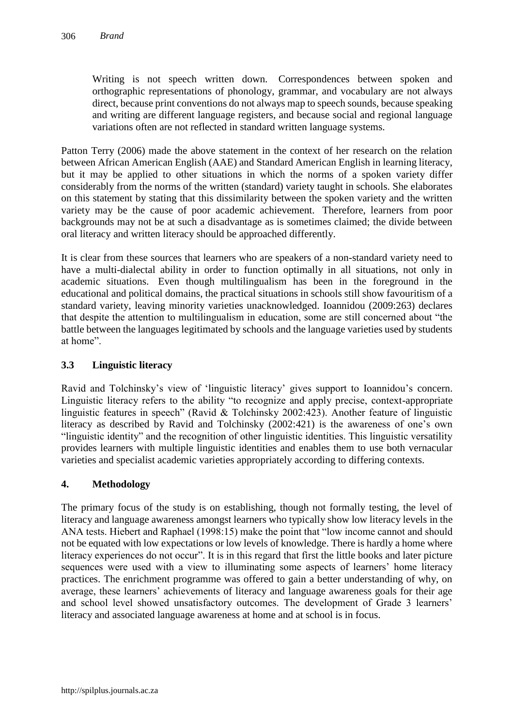Writing is not speech written down. Correspondences between spoken and orthographic representations of phonology, grammar, and vocabulary are not always direct, because print conventions do not always map to speech sounds, because speaking and writing are different language registers, and because social and regional language variations often are not reflected in standard written language systems.

Patton Terry (2006) made the above statement in the context of her research on the relation between African American English (AAE) and Standard American English in learning literacy, but it may be applied to other situations in which the norms of a spoken variety differ considerably from the norms of the written (standard) variety taught in schools. She elaborates on this statement by stating that this dissimilarity between the spoken variety and the written variety may be the cause of poor academic achievement. Therefore, learners from poor backgrounds may not be at such a disadvantage as is sometimes claimed; the divide between oral literacy and written literacy should be approached differently.

It is clear from these sources that learners who are speakers of a non-standard variety need to have a multi-dialectal ability in order to function optimally in all situations, not only in academic situations. Even though multilingualism has been in the foreground in the educational and political domains, the practical situations in schools still show favouritism of a standard variety, leaving minority varieties unacknowledged. Ioannidou (2009:263) declares that despite the attention to multilingualism in education, some are still concerned about "the battle between the languages legitimated by schools and the language varieties used by students at home".

## **3.3 Linguistic literacy**

Ravid and Tolchinsky's view of 'linguistic literacy' gives support to Ioannidou's concern. Linguistic literacy refers to the ability "to recognize and apply precise, context-appropriate linguistic features in speech" (Ravid & Tolchinsky 2002:423). Another feature of linguistic literacy as described by Ravid and Tolchinsky (2002:421) is the awareness of one's own "linguistic identity" and the recognition of other linguistic identities. This linguistic versatility provides learners with multiple linguistic identities and enables them to use both vernacular varieties and specialist academic varieties appropriately according to differing contexts.

# **4. Methodology**

The primary focus of the study is on establishing, though not formally testing, the level of literacy and language awareness amongst learners who typically show low literacy levels in the ANA tests. Hiebert and Raphael (1998:15) make the point that "low income cannot and should not be equated with low expectations or low levels of knowledge. There is hardly a home where literacy experiences do not occur". It is in this regard that first the little books and later picture sequences were used with a view to illuminating some aspects of learners' home literacy practices. The enrichment programme was offered to gain a better understanding of why, on average, these learners' achievements of literacy and language awareness goals for their age and school level showed unsatisfactory outcomes. The development of Grade 3 learners' literacy and associated language awareness at home and at school is in focus.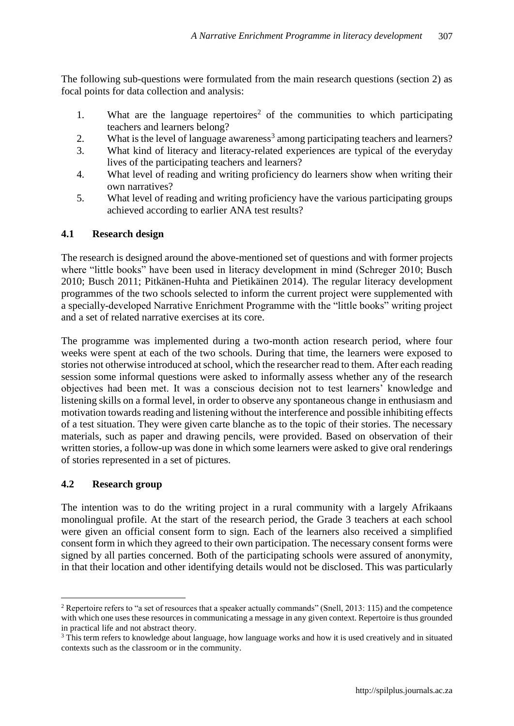The following sub-questions were formulated from the main research questions (section 2) as focal points for data collection and analysis:

- 1. What are the language repertoires<sup>2</sup> of the communities to which participating teachers and learners belong?
- 2. What is the level of language awareness<sup>3</sup> among participating teachers and learners?
- 3. What kind of literacy and literacy-related experiences are typical of the everyday lives of the participating teachers and learners?
- 4. What level of reading and writing proficiency do learners show when writing their own narratives?
- 5. What level of reading and writing proficiency have the various participating groups achieved according to earlier ANA test results?

## **4.1 Research design**

The research is designed around the above-mentioned set of questions and with former projects where "little books" have been used in literacy development in mind (Schreger 2010; Busch 2010; Busch 2011; Pitkänen-Huhta and Pietikäinen 2014). The regular literacy development programmes of the two schools selected to inform the current project were supplemented with a specially-developed Narrative Enrichment Programme with the "little books" writing project and a set of related narrative exercises at its core.

The programme was implemented during a two-month action research period, where four weeks were spent at each of the two schools. During that time, the learners were exposed to stories not otherwise introduced at school, which the researcher read to them. After each reading session some informal questions were asked to informally assess whether any of the research objectives had been met. It was a conscious decision not to test learners' knowledge and listening skills on a formal level, in order to observe any spontaneous change in enthusiasm and motivation towards reading and listening without the interference and possible inhibiting effects of a test situation. They were given carte blanche as to the topic of their stories. The necessary materials, such as paper and drawing pencils, were provided. Based on observation of their written stories, a follow-up was done in which some learners were asked to give oral renderings of stories represented in a set of pictures.

## **4.2 Research group**

 $\overline{a}$ 

The intention was to do the writing project in a rural community with a largely Afrikaans monolingual profile. At the start of the research period, the Grade 3 teachers at each school were given an official consent form to sign. Each of the learners also received a simplified consent form in which they agreed to their own participation. The necessary consent forms were signed by all parties concerned. Both of the participating schools were assured of anonymity, in that their location and other identifying details would not be disclosed. This was particularly

<sup>&</sup>lt;sup>2</sup> Repertoire refers to "a set of resources that a speaker actually commands" (Snell, 2013: 115) and the competence with which one uses these resources in communicating a message in any given context. Repertoire is thus grounded in practical life and not abstract theory.

<sup>&</sup>lt;sup>3</sup> This term refers to knowledge about language, how language works and how it is used creatively and in situated contexts such as the classroom or in the community.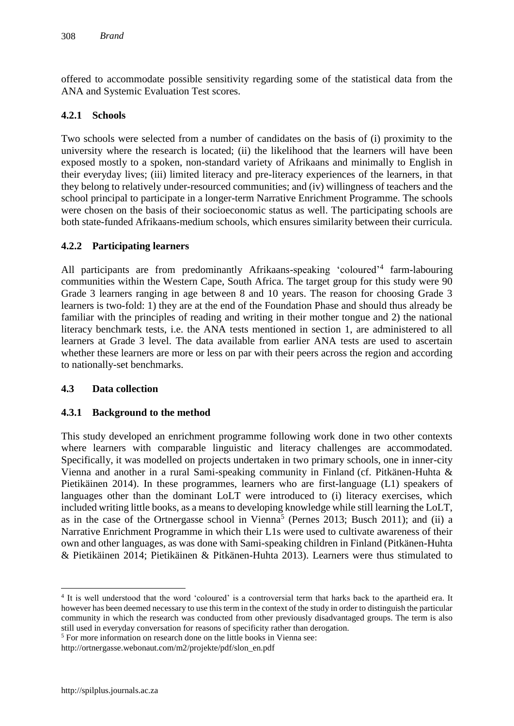offered to accommodate possible sensitivity regarding some of the statistical data from the ANA and Systemic Evaluation Test scores.

#### **4.2.1 Schools**

Two schools were selected from a number of candidates on the basis of (i) proximity to the university where the research is located; (ii) the likelihood that the learners will have been exposed mostly to a spoken, non-standard variety of Afrikaans and minimally to English in their everyday lives; (iii) limited literacy and pre-literacy experiences of the learners, in that they belong to relatively under-resourced communities; and (iv) willingness of teachers and the school principal to participate in a longer-term Narrative Enrichment Programme. The schools were chosen on the basis of their socioeconomic status as well. The participating schools are both state-funded Afrikaans-medium schools, which ensures similarity between their curricula.

#### **4.2.2 Participating learners**

All participants are from predominantly Afrikaans-speaking 'coloured'<sup>4</sup> farm-labouring communities within the Western Cape, South Africa. The target group for this study were 90 Grade 3 learners ranging in age between 8 and 10 years. The reason for choosing Grade 3 learners is two-fold: 1) they are at the end of the Foundation Phase and should thus already be familiar with the principles of reading and writing in their mother tongue and 2) the national literacy benchmark tests, i.e. the ANA tests mentioned in section 1, are administered to all learners at Grade 3 level. The data available from earlier ANA tests are used to ascertain whether these learners are more or less on par with their peers across the region and according to nationally-set benchmarks.

#### **4.3 Data collection**

#### **4.3.1 Background to the method**

This study developed an enrichment programme following work done in two other contexts where learners with comparable linguistic and literacy challenges are accommodated. Specifically, it was modelled on projects undertaken in two primary schools, one in inner-city Vienna and another in a rural Sami-speaking community in Finland (cf. Pitkänen-Huhta & Pietikäinen 2014). In these programmes, learners who are first-language (L1) speakers of languages other than the dominant LoLT were introduced to (i) literacy exercises, which included writing little books, as a means to developing knowledge while still learning the LoLT, as in the case of the Ortnergasse school in Vienna<sup>5</sup> (Pernes 2013; Busch 2011); and (ii) a Narrative Enrichment Programme in which their L1s were used to cultivate awareness of their own and other languages, as was done with Sami-speaking children in Finland (Pitkänen-Huhta & Pietikäinen 2014; Pietikäinen & Pitkänen-Huhta 2013). Learners were thus stimulated to

<sup>4</sup> It is well understood that the word 'coloured' is a controversial term that harks back to the apartheid era. It however has been deemed necessary to use this term in the context of the study in order to distinguish the particular community in which the research was conducted from other previously disadvantaged groups. The term is also still used in everyday conversation for reasons of specificity rather than derogation.

<sup>&</sup>lt;sup>5</sup> For more information on research done on the little books in Vienna see:

http://ortnergasse.webonaut.com/m2/projekte/pdf/slon\_en.pdf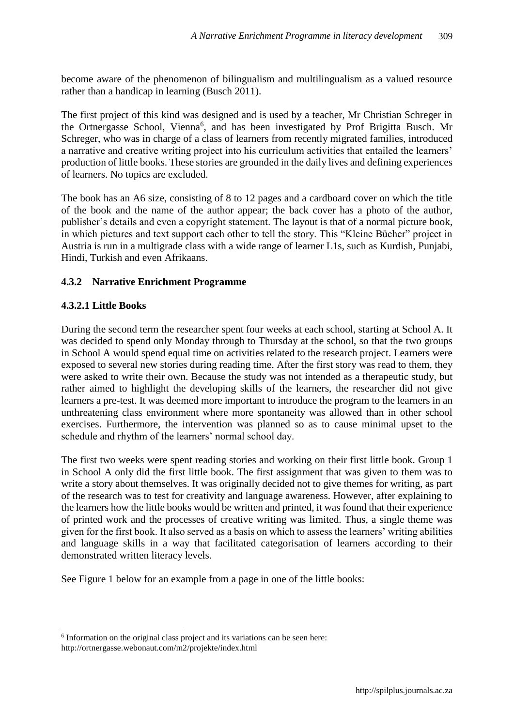become aware of the phenomenon of bilingualism and multilingualism as a valued resource rather than a handicap in learning (Busch 2011).

The first project of this kind was designed and is used by a teacher, Mr Christian Schreger in the Ortnergasse School, Vienna<sup>6</sup>, and has been investigated by Prof Brigitta Busch. Mr Schreger, who was in charge of a class of learners from recently migrated families, introduced a narrative and creative writing project into his curriculum activities that entailed the learners' production of little books. These stories are grounded in the daily lives and defining experiences of learners. No topics are excluded.

The book has an A6 size, consisting of 8 to 12 pages and a cardboard cover on which the title of the book and the name of the author appear; the back cover has a photo of the author, publisher's details and even a copyright statement. The layout is that of a normal picture book, in which pictures and text support each other to tell the story. This "Kleine Bücher" project in Austria is run in a multigrade class with a wide range of learner L1s, such as Kurdish, Punjabi, Hindi, Turkish and even Afrikaans.

# **4.3.2 Narrative Enrichment Programme**

## **4.3.2.1 Little Books**

During the second term the researcher spent four weeks at each school, starting at School A. It was decided to spend only Monday through to Thursday at the school, so that the two groups in School A would spend equal time on activities related to the research project. Learners were exposed to several new stories during reading time. After the first story was read to them, they were asked to write their own. Because the study was not intended as a therapeutic study, but rather aimed to highlight the developing skills of the learners, the researcher did not give learners a pre-test. It was deemed more important to introduce the program to the learners in an unthreatening class environment where more spontaneity was allowed than in other school exercises. Furthermore, the intervention was planned so as to cause minimal upset to the schedule and rhythm of the learners' normal school day.

The first two weeks were spent reading stories and working on their first little book. Group 1 in School A only did the first little book. The first assignment that was given to them was to write a story about themselves. It was originally decided not to give themes for writing, as part of the research was to test for creativity and language awareness. However, after explaining to the learners how the little books would be written and printed, it was found that their experience of printed work and the processes of creative writing was limited. Thus, a single theme was given for the first book. It also served as a basis on which to assess the learners' writing abilities and language skills in a way that facilitated categorisation of learners according to their demonstrated written literacy levels.

See Figure 1 below for an example from a page in one of the little books:

<sup>&</sup>lt;sup>6</sup> Information on the original class project and its variations can be seen here:

http://ortnergasse.webonaut.com/m2/projekte/index.html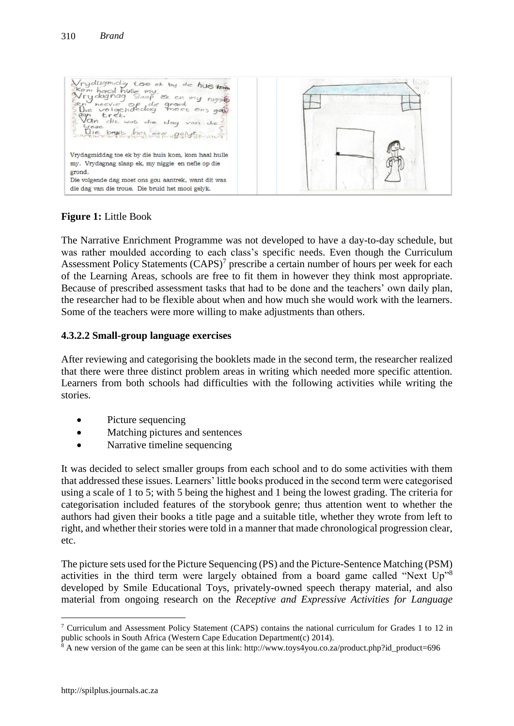Vrydagmidig Loe et by de huisles age trek.  $d$ <sub>16</sub>  $w$  $a$ <sub>5</sub>  $\overline{di}$  $d$ ag Die bruit bet meer gelyn Vrydagmiddag toe ek by die huis kom, kom haal hulle my. Vrydagnag slaap ek, my niggie en nefie op die grond. Die volgende dag moet ons gou aantrek, want dit was die dag van die troue. Die bruid het mooi gelyk.

**Figure 1:** Little Book

The Narrative Enrichment Programme was not developed to have a day-to-day schedule, but was rather moulded according to each class's specific needs. Even though the Curriculum Assessment Policy Statements  $(CAPS)^7$  prescribe a certain number of hours per week for each of the Learning Areas, schools are free to fit them in however they think most appropriate. Because of prescribed assessment tasks that had to be done and the teachers' own daily plan, the researcher had to be flexible about when and how much she would work with the learners. Some of the teachers were more willing to make adjustments than others.

## **4.3.2.2 Small-group language exercises**

After reviewing and categorising the booklets made in the second term, the researcher realized that there were three distinct problem areas in writing which needed more specific attention. Learners from both schools had difficulties with the following activities while writing the stories.

- Picture sequencing
- Matching pictures and sentences
- Narrative timeline sequencing

It was decided to select smaller groups from each school and to do some activities with them that addressed these issues. Learners' little books produced in the second term were categorised using a scale of 1 to 5; with 5 being the highest and 1 being the lowest grading. The criteria for categorisation included features of the storybook genre; thus attention went to whether the authors had given their books a title page and a suitable title, whether they wrote from left to right, and whether their stories were told in a manner that made chronological progression clear, etc.

The picture sets used for the Picture Sequencing (PS) and the Picture-Sentence Matching (PSM) activities in the third term were largely obtained from a board game called "Next Up"<sup>8</sup> developed by Smile Educational Toys, privately-owned speech therapy material, and also material from ongoing research on the *Receptive and Expressive Activities for Language* 

<sup>7</sup> Curriculum and Assessment Policy Statement (CAPS) contains the national curriculum for Grades 1 to 12 in public schools in South Africa (Western Cape Education Department(c) 2014).

 $8$  A new version of the game can be seen at this link: http://www.toys4you.co.za/product.php?id\_product=696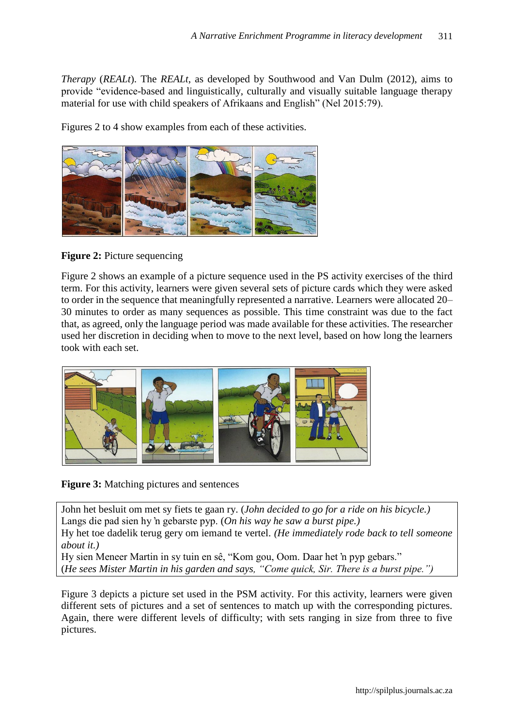*Therapy* (*REALt*). The *REALt*, as developed by Southwood and Van Dulm (2012), aims to provide "evidence-based and linguistically, culturally and visually suitable language therapy material for use with child speakers of Afrikaans and English" (Nel 2015:79).

Figures 2 to 4 show examples from each of these activities.



**Figure 2: Picture sequencing** 

Figure 2 shows an example of a picture sequence used in the PS activity exercises of the third term. For this activity, learners were given several sets of picture cards which they were asked to order in the sequence that meaningfully represented a narrative. Learners were allocated 20– 30 minutes to order as many sequences as possible. This time constraint was due to the fact that, as agreed, only the language period was made available for these activities. The researcher used her discretion in deciding when to move to the next level, based on how long the learners took with each set.



**Figure 3:** Matching pictures and sentences

John het besluit om met sy fiets te gaan ry. (*John decided to go for a ride on his bicycle.)* Langs die pad sien hy 'n gebarste pyp. (*On his way he saw a burst pipe.)* Hy het toe dadelik terug gery om iemand te vertel. *(He immediately rode back to tell someone about it.)*

Hy sien Meneer Martin in sy tuin en sê, "Kom gou, Oom. Daar het 'n pyp gebars." (*He sees Mister Martin in his garden and says, "Come quick, Sir. There is a burst pipe.")*

Figure 3 depicts a picture set used in the PSM activity. For this activity, learners were given different sets of pictures and a set of sentences to match up with the corresponding pictures. Again, there were different levels of difficulty; with sets ranging in size from three to five pictures.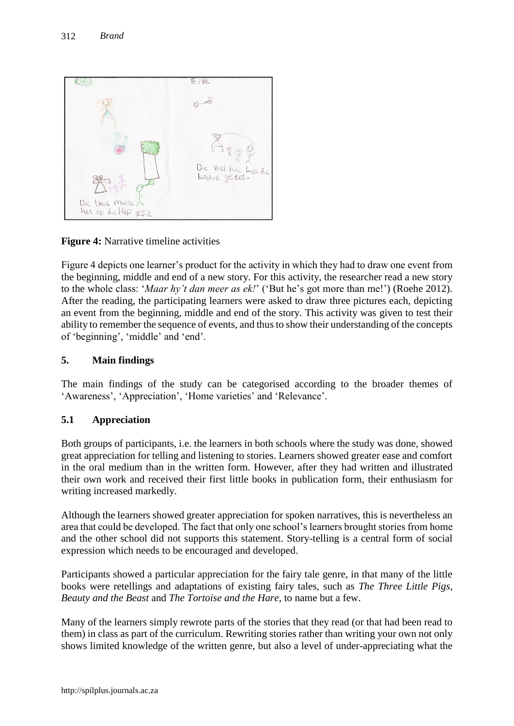

**Figure 4:** Narrative timeline activities

Figure 4 depicts one learner's product for the activity in which they had to draw one event from the beginning, middle and end of a new story. For this activity, the researcher read a new story to the whole class: '*Maar hy't dan meer as ek!*' ('But he's got more than me!') (Roehe 2012). After the reading, the participating learners were asked to draw three pictures each, depicting an event from the beginning, middle and end of the story. This activity was given to test their ability to remember the sequence of events, and thus to show their understanding of the concepts of 'beginning', 'middle' and 'end'.

## **5. Main findings**

The main findings of the study can be categorised according to the broader themes of 'Awareness', 'Appreciation', 'Home varieties' and 'Relevance'.

## **5.1 Appreciation**

Both groups of participants, i.e. the learners in both schools where the study was done, showed great appreciation for telling and listening to stories. Learners showed greater ease and comfort in the oral medium than in the written form. However, after they had written and illustrated their own work and received their first little books in publication form, their enthusiasm for writing increased markedly.

Although the learners showed greater appreciation for spoken narratives, this is nevertheless an area that could be developed. The fact that only one school's learners brought stories from home and the other school did not supports this statement. Story-telling is a central form of social expression which needs to be encouraged and developed.

Participants showed a particular appreciation for the fairy tale genre, in that many of the little books were retellings and adaptations of existing fairy tales, such as *The Three Little Pigs*, *Beauty and the Beast* and *The Tortoise and the Hare*, to name but a few.

Many of the learners simply rewrote parts of the stories that they read (or that had been read to them) in class as part of the curriculum. Rewriting stories rather than writing your own not only shows limited knowledge of the written genre, but also a level of under-appreciating what the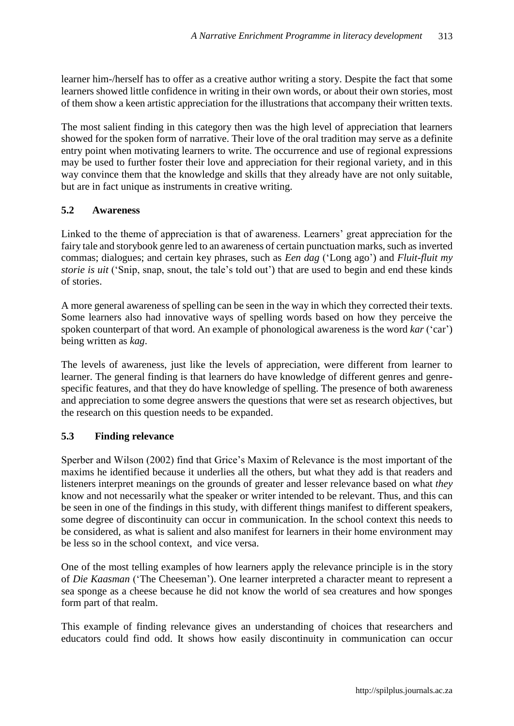learner him-/herself has to offer as a creative author writing a story. Despite the fact that some learners showed little confidence in writing in their own words, or about their own stories, most of them show a keen artistic appreciation for the illustrations that accompany their written texts.

The most salient finding in this category then was the high level of appreciation that learners showed for the spoken form of narrative. Their love of the oral tradition may serve as a definite entry point when motivating learners to write. The occurrence and use of regional expressions may be used to further foster their love and appreciation for their regional variety, and in this way convince them that the knowledge and skills that they already have are not only suitable, but are in fact unique as instruments in creative writing.

#### **5.2 Awareness**

Linked to the theme of appreciation is that of awareness. Learners' great appreciation for the fairy tale and storybook genre led to an awareness of certain punctuation marks, such as inverted commas; dialogues; and certain key phrases, such as *Een dag* ('Long ago') and *Fluit-fluit my storie is uit* ('Snip, snap, snout, the tale's told out') that are used to begin and end these kinds of stories.

A more general awareness of spelling can be seen in the way in which they corrected their texts. Some learners also had innovative ways of spelling words based on how they perceive the spoken counterpart of that word. An example of phonological awareness is the word *kar* ('car') being written as *kag*.

The levels of awareness, just like the levels of appreciation, were different from learner to learner. The general finding is that learners do have knowledge of different genres and genrespecific features, and that they do have knowledge of spelling. The presence of both awareness and appreciation to some degree answers the questions that were set as research objectives, but the research on this question needs to be expanded.

## **5.3 Finding relevance**

Sperber and Wilson (2002) find that Grice's Maxim of Relevance is the most important of the maxims he identified because it underlies all the others, but what they add is that readers and listeners interpret meanings on the grounds of greater and lesser relevance based on what *they*  know and not necessarily what the speaker or writer intended to be relevant. Thus, and this can be seen in one of the findings in this study, with different things manifest to different speakers, some degree of discontinuity can occur in communication. In the school context this needs to be considered, as what is salient and also manifest for learners in their home environment may be less so in the school context, and vice versa.

One of the most telling examples of how learners apply the relevance principle is in the story of *Die Kaasman* ('The Cheeseman'). One learner interpreted a character meant to represent a sea sponge as a cheese because he did not know the world of sea creatures and how sponges form part of that realm.

This example of finding relevance gives an understanding of choices that researchers and educators could find odd. It shows how easily discontinuity in communication can occur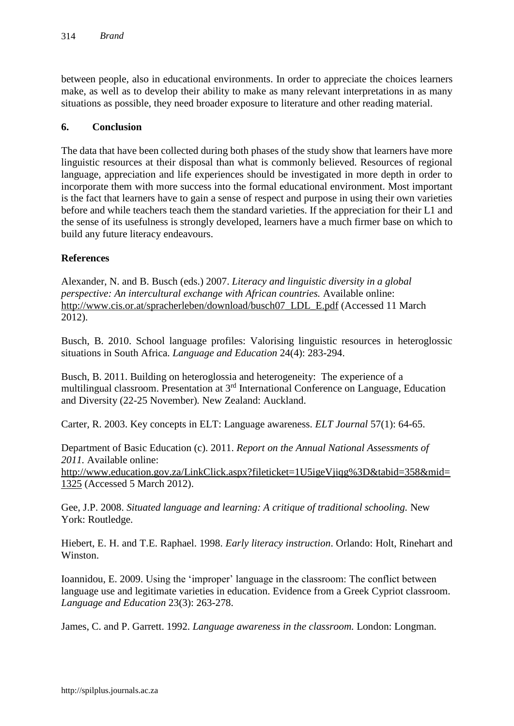between people, also in educational environments. In order to appreciate the choices learners make, as well as to develop their ability to make as many relevant interpretations in as many situations as possible, they need broader exposure to literature and other reading material.

#### **6. Conclusion**

The data that have been collected during both phases of the study show that learners have more linguistic resources at their disposal than what is commonly believed. Resources of regional language, appreciation and life experiences should be investigated in more depth in order to incorporate them with more success into the formal educational environment. Most important is the fact that learners have to gain a sense of respect and purpose in using their own varieties before and while teachers teach them the standard varieties. If the appreciation for their L1 and the sense of its usefulness is strongly developed, learners have a much firmer base on which to build any future literacy endeavours.

#### **References**

Alexander, N. and B. Busch (eds.) 2007. *Literacy and linguistic diversity in a global perspective: An intercultural exchange with African countries. Available online:* [http://www.cis.or.at/spracherleben/download/busch07\\_LDL\\_E.pdf](http://www.cis.or.at/spracherleben/download/busch07_LDL_E.pdf) (Accessed 11 March 2012).

Busch, B. 2010. School language profiles: Valorising linguistic resources in heteroglossic situations in South Africa. *Language and Education* 24(4): 283-294.

Busch, B. 2011. Building on heteroglossia and heterogeneity: The experience of a multilingual classroom. Presentation at 3rd International Conference on Language, Education and Diversity (22-25 November)*.* New Zealand: Auckland.

Carter, R. 2003. Key concepts in ELT: Language awareness. *ELT Journal* 57(1): 64-65.

Department of Basic Education (c). 2011. *Report on the Annual National Assessments of 2011.* Available online: http://www.education.gov.za/LinkClick.aspx?fileticket=1U5igeVijqg%3D&tabid=358&mid= [1325](http://www.education.gov.za/LinkClick.aspx?fileticket=1U5igeVjiqg%3D&tabid=358&mid=1325) (Accessed 5 March 2012).

Gee, J.P. 2008. *Situated language and learning: A critique of traditional schooling.* New York: Routledge.

Hiebert, E. H. and T.E. Raphael. 1998. *Early literacy instruction*. Orlando: Holt, Rinehart and Winston.

Ioannidou, E. 2009. Using the 'improper' language in the classroom: The conflict between language use and legitimate varieties in education. Evidence from a Greek Cypriot classroom. *Language and Education* 23(3): 263-278.

James, C. and P. Garrett. 1992. *Language awareness in the classroom.* London: Longman.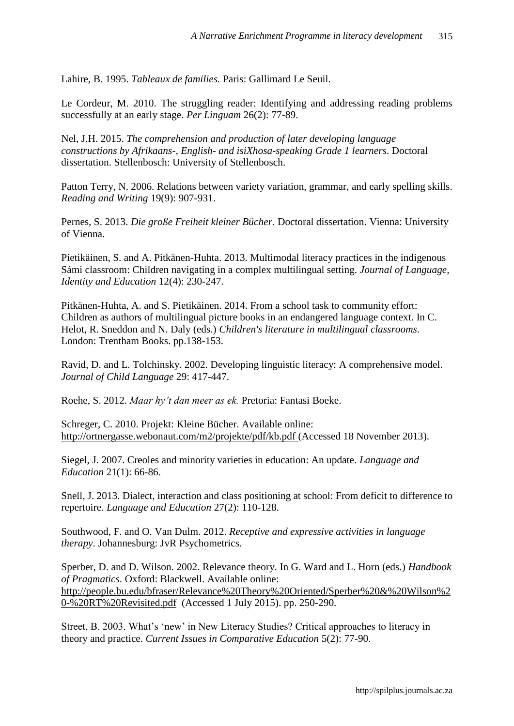Lahire, B. 1995. *Tableaux de families.* Paris: Gallimard Le Seuil.

Le Cordeur, M. 2010. The struggling reader: Identifying and addressing reading problems successfully at an early stage. *Per Linguam* 26(2): 77-89.

Nel, J.H. 2015. *The comprehension and production of later developing language constructions by Afrikaans-, English- and isiXhosa-speaking Grade 1 learners*. Doctoral dissertation. Stellenbosch: University of Stellenbosch.

Patton Terry, N. 2006. Relations between variety variation, grammar, and early spelling skills. *Reading and Writing* 19(9): 907-931.

Pernes, S. 2013. *Die große Freiheit kleiner Bücher.* Doctoral dissertation. Vienna: University of Vienna.

Pietikäinen, S. and A. Pitkänen-Huhta. 2013. Multimodal literacy practices in the indigenous Sámi classroom: Children navigating in a complex multilingual setting. *Journal of Language, Identity and Education* 12(4): 230-247.

Pitkänen-Huhta, A. and S. Pietikäinen. 2014. From a school task to community effort: Children as authors of multilingual picture books in an endangered language context. In C. Helot, R. Sneddon and N. Daly (eds.) *Children's literature in multilingual classrooms*. London: Trentham Books. pp.138-153.

Ravid, D. and L. Tolchinsky. 2002. Developing linguistic literacy: A comprehensive model. *Journal of Child Language* 29: 417-447.

Roehe, S. 2012. *Maar hy't dan meer as ek.* Pretoria: Fantasi Boeke.

Schreger, C. 2010. Projekt: Kleine Bücher. Available online: http://ortnergasse.webonaut.com/m2/projekte/pdf/kb.pdf (Accessed 18 November 2013).

Siegel, J. 2007. Creoles and minority varieties in education: An update. *Language and Education* 21(1): 66-86.

Snell, J. 2013. Dialect, interaction and class positioning at school: From deficit to difference to repertoire. *Language and Education* 27(2): 110-128.

Southwood, F. and O. Van Dulm. 2012. *Receptive and expressive activities in language therapy*. Johannesburg: JvR Psychometrics.

Sperber, D. and D. Wilson. 2002. Relevance theory. In G. Ward and L. Horn (eds.) *Handbook of Pragmatics*. Oxford: Blackwell. Available online: http://people.bu.edu/bfraser/Relevance%20Theory%20Oriented/Sperber%20&%20Wilson%2 0-%20RT%20Revisited.pdf (Accessed 1 July 2015). pp. 250-290.

Street, B. 2003. What's 'new' in New Literacy Studies? Critical approaches to literacy in theory and practice. *Current Issues in Comparative Education* 5(2): 77-90.